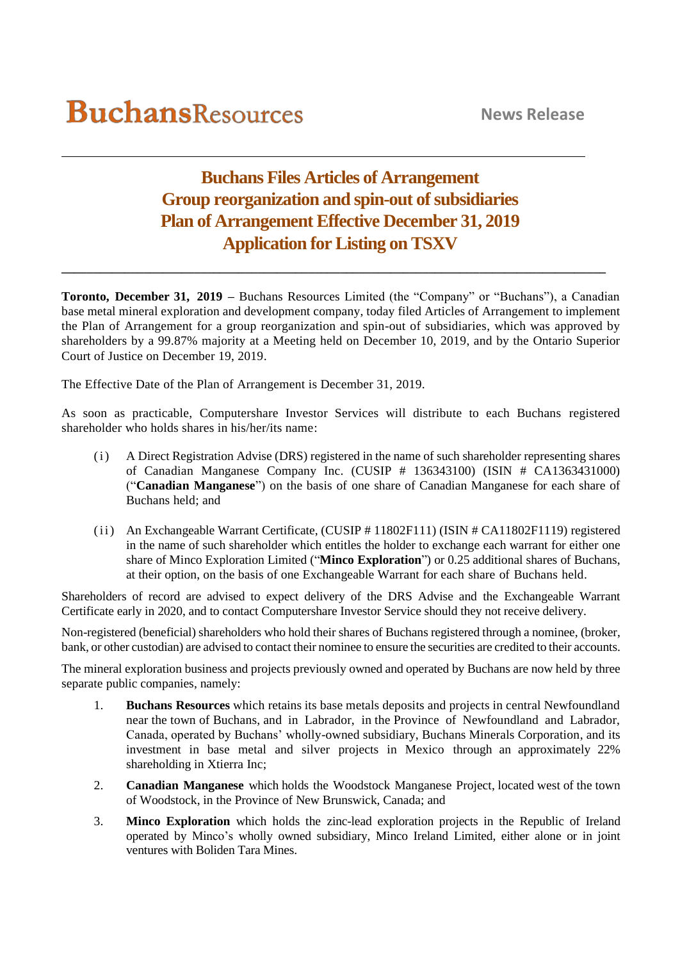## **Buchans Files Articles of Arrangement Group reorganization and spin-out of subsidiaries Plan of Arrangement Effective December 31, 2019 Application for Listing on TSXV**

**\_\_\_\_\_\_\_\_\_\_\_\_\_\_\_\_\_\_\_\_\_\_\_\_\_\_\_\_\_\_\_\_\_\_\_\_\_\_\_\_\_\_\_\_\_\_\_\_\_\_\_\_\_\_\_\_\_\_\_\_\_\_\_\_\_\_\_\_\_\_\_\_\_\_\_\_\_\_\_\_\_\_\_\_\_\_**

**Toronto, December 31, 2019 –** Buchans Resources Limited (the "Company" or "Buchans"), a Canadian base metal mineral exploration and development company, today filed Articles of Arrangement to implement the Plan of Arrangement for a group reorganization and spin-out of subsidiaries, which was approved by shareholders by a 99.87% majority at a Meeting held on December 10, 2019, and by the Ontario Superior Court of Justice on December 19, 2019.

The Effective Date of the Plan of Arrangement is December 31, 2019.

As soon as practicable, Computershare Investor Services will distribute to each Buchans registered shareholder who holds shares in his/her/its name:

- (i) A Direct Registration Advise (DRS) registered in the name of such shareholder representing shares of Canadian Manganese Company Inc. (CUSIP # 136343100) (ISIN # CA1363431000) ("**Canadian Manganese**") on the basis of one share of Canadian Manganese for each share of Buchans held; and
- (ii) An Exchangeable Warrant Certificate, (CUSIP # 11802F111) (ISIN # CA11802F1119) registered in the name of such shareholder which entitles the holder to exchange each warrant for either one share of Minco Exploration Limited ("**Minco Exploration**") or 0.25 additional shares of Buchans, at their option, on the basis of one Exchangeable Warrant for each share of Buchans held.

Shareholders of record are advised to expect delivery of the DRS Advise and the Exchangeable Warrant Certificate early in 2020, and to contact Computershare Investor Service should they not receive delivery.

Non-registered (beneficial) shareholders who hold their shares of Buchans registered through a nominee, (broker, bank, or other custodian) are advised to contact their nominee to ensure the securities are credited to their accounts.

The mineral exploration business and projects previously owned and operated by Buchans are now held by three separate public companies, namely:

- 1. **Buchans Resources** which retains its base metals deposits and projects in central Newfoundland near the town of Buchans, and in Labrador, in the Province of Newfoundland and Labrador, Canada, operated by Buchans' wholly-owned subsidiary, Buchans Minerals Corporation, and its investment in base metal and silver projects in Mexico through an approximately 22% shareholding in Xtierra Inc;
- 2. **Canadian Manganese** which holds the Woodstock Manganese Project, located west of the town of Woodstock, in the Province of New Brunswick, Canada; and
- 3. **Minco Exploration** which holds the zinc-lead exploration projects in the Republic of Ireland operated by Minco's wholly owned subsidiary, Minco Ireland Limited, either alone or in joint ventures with Boliden Tara Mines.